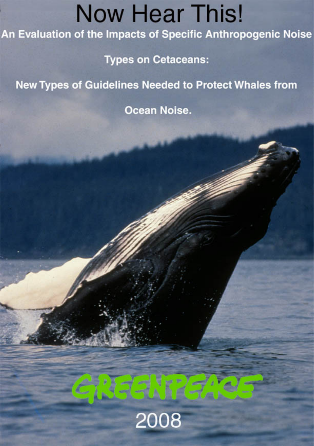# **Now Hear This!**

An Evaluation of the Impacts of Specific Anthropogenic Noise

**Types on Cetaceans:** 

**New Types of Guidelines Needed to Protect Whales from** 

Ocean Noise.

# 08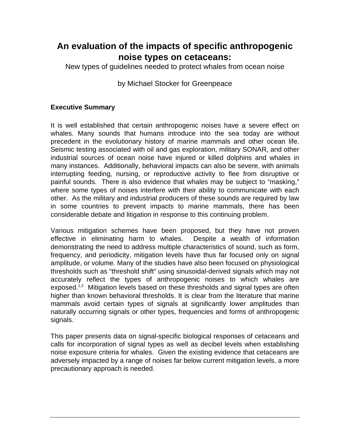## **An evaluation of the impacts of specific anthropogenic noise types on cetaceans:**

New types of guidelines needed to protect whales from ocean noise

#### by Michael Stocker for Greenpeace

#### **Executive Summary**

It is well established that certain anthropogenic noises have a severe effect on whales. Many sounds that humans introduce into the sea today are without precedent in the evolutionary history of marine mammals and other ocean life. Seismic testing associated with oil and gas exploration, military SONAR, and other industrial sources of ocean noise have injured or killed dolphins and whales in many instances. Additionally, behavioral impacts can also be severe, with animals interrupting feeding, nursing, or reproductive activity to flee from disruptive or painful sounds. There is also evidence that whales may be subject to "masking," where some types of noises interfere with their ability to communicate with each other. As the military and industrial producers of these sounds are required by law in some countries to prevent impacts to marine mammals, there has been considerable debate and litigation in response to this continuing problem.

Various mitigation schemes have been proposed, but they have not proven effective in eliminating harm to whales. Despite a wealth of information demonstrating the need to address multiple characteristics of sound, such as form, frequency, and periodicity, mitigation levels have thus far focused only on signal amplitude, or volume. Many of the studies have also been focused on physiological thresholds such as "threshold shift" using sinusoidal-derived signals which may not accurately reflect the types of anthropogenic noises to which whales are exposed.<sup>1,2</sup> Mitigation levels based on these thresholds and signal types are often higher than known behavioral thresholds. It is clear from the literature that marine mammals avoid certain types of signals at significantly lower amplitudes than naturally occurring signals or other types, frequencies and forms of anthropogenic signals.

This paper presents data on signal-specific biological responses of cetaceans and calls for incorporation of signal types as well as decibel levels when establishing noise exposure criteria for whales. Given the existing evidence that cetaceans are adversely impacted by a range of noises far below current mitigation levels, a more precautionary approach is needed.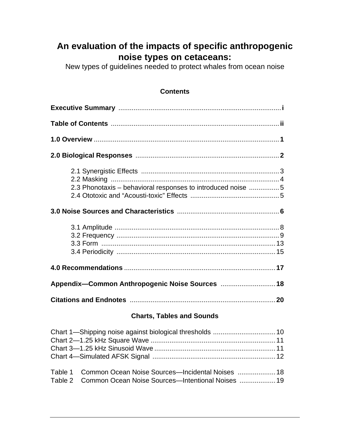# **An evaluation of the impacts of specific anthropogenic noise types on cetaceans:**

New types of guidelines needed to protect whales from ocean noise

#### **Contents**

| 2.3 Phonotaxis – behavioral responses to introduced noise 5                                                                 |  |  |  |  |
|-----------------------------------------------------------------------------------------------------------------------------|--|--|--|--|
|                                                                                                                             |  |  |  |  |
|                                                                                                                             |  |  |  |  |
|                                                                                                                             |  |  |  |  |
|                                                                                                                             |  |  |  |  |
|                                                                                                                             |  |  |  |  |
| <b>Charts, Tables and Sounds</b>                                                                                            |  |  |  |  |
|                                                                                                                             |  |  |  |  |
| Common Ocean Noise Sources-Incidental Noises  18<br>Table 1<br>Common Ocean Noise Sources-Intentional Noises  19<br>Table 2 |  |  |  |  |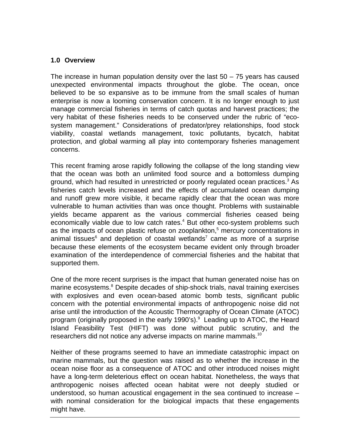#### **1.0 Overview**

The increase in human population density over the last 50 – 75 years has caused unexpected environmental impacts throughout the globe. The ocean, once believed to be so expansive as to be immune from the small scales of human enterprise is now a looming conservation concern. It is no longer enough to just manage commercial fisheries in terms of catch quotas and harvest practices; the very habitat of these fisheries needs to be conserved under the rubric of "ecosystem management." Considerations of predator/prey relationships, food stock viability, coastal wetlands management, toxic pollutants, bycatch, habitat protection, and global warming all play into contemporary fisheries management concerns.

This recent framing arose rapidly following the collapse of the long standing view that the ocean was both an unlimited food source and a bottomless dumping ground, which had resulted in unrestricted or poorly regulated ocean practices.<sup>3</sup> As fisheries catch levels increased and the effects of accumulated ocean dumping and runoff grew more visible, it became rapidly clear that the ocean was more vulnerable to human activities than was once thought. Problems with sustainable yields became apparent as the various commercial fisheries ceased being economically viable due to low catch rates.<sup>4</sup> But other eco-system problems such as the impacts of ocean plastic refuse on zooplankton,<sup>5</sup> mercury concentrations in animal tissues<sup>6</sup> and depletion of coastal wetlands<sup>7</sup> came as more of a surprise because these elements of the ecosystem became evident only through broader examination of the interdependence of commercial fisheries and the habitat that supported them.

One of the more recent surprises is the impact that human generated noise has on marine ecosystems.<sup>8</sup> Despite decades of ship-shock trials, naval training exercises with explosives and even ocean-based atomic bomb tests, significant public concern with the potential environmental impacts of anthropogenic noise did not arise until the introduction of the Acoustic Thermography of Ocean Climate (ATOC) program (originally proposed in the early 1990's).<sup>9</sup> Leading up to ATOC, the Heard Island Feasibility Test (HIFT) was done without public scrutiny, and the researchers did not notice any adverse impacts on marine mammals.<sup>10</sup>

Neither of these programs seemed to have an immediate catastrophic impact on marine mammals, but the question was raised as to whether the increase in the ocean noise floor as a consequence of ATOC and other introduced noises might have a long-term deleterious effect on ocean habitat. Nonetheless, the ways that anthropogenic noises affected ocean habitat were not deeply studied or understood, so human acoustical engagement in the sea continued to increase – with nominal consideration for the biological impacts that these engagements might have.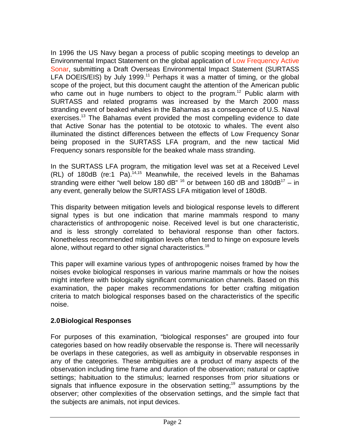In 1996 the US Navy began a process of public scoping meetings to develop an Environmental Impact Statement on the global application of [Low Frequency Active](http://www.greenpeace.org/usa/assets/binaries/lfa-simulation)  [Sonar,](http://www.greenpeace.org/usa/assets/binaries/lfa-simulation) submitting a Draft Overseas Environmental Impact Statement (SURTASS LFA DOEIS/EIS) by July 1999.<sup>11</sup> Perhaps it was a matter of timing, or the global scope of the project, but this document caught the attention of the American public who came out in huge numbers to object to the program.<sup>12</sup> Public alarm with SURTASS and related programs was increased by the March 2000 mass stranding event of beaked whales in the Bahamas as a consequence of U.S. Naval exercises.<sup>13</sup> The Bahamas event provided the most compelling evidence to date that Active Sonar has the potential to be ototoxic to whales. The event also illuminated the distinct differences between the effects of Low Frequency Sonar being proposed in the SURTASS LFA program, and the new tactical Mid Frequency sonars responsible for the beaked whale mass stranding.

In the SURTASS LFA program, the mitigation level was set at a Received Level  $(RL)$  of 180dB (re:1 Pa).<sup>14,15</sup> Meanwhile, the received levels in the Bahamas stranding were either "well below 180 dB" <sup>16</sup> or between 160 dB and 180dB<sup>17</sup> – in any event, generally below the SURTASS LFA mitigation level of 180dB.

This disparity between mitigation levels and biological response levels to different signal types is but one indication that marine mammals respond to many characteristics of anthropogenic noise. Received level is but one characteristic, and is less strongly correlated to behavioral response than other factors. Nonetheless recommended mitigation levels often tend to hinge on exposure levels alone, without regard to other signal characteristics.<sup>18</sup>

This paper will examine various types of anthropogenic noises framed by how the noises evoke biological responses in various marine mammals or how the noises might interfere with biologically significant communication channels. Based on this examination, the paper makes recommendations for better crafting mitigation criteria to match biological responses based on the characteristics of the specific noise.

#### **2.0Biological Responses**

For purposes of this examination, "biological responses" are grouped into four categories based on how readily observable the response is. There will necessarily be overlaps in these categories, as well as ambiguity in observable responses in any of the categories. These ambiguities are a product of many aspects of the observation including time frame and duration of the observation; natural or captive settings; habituation to the stimulus; learned responses from prior situations or signals that influence exposure in the observation setting;<sup>19</sup> assumptions by the observer; other complexities of the observation settings, and the simple fact that the subjects are animals, not input devices.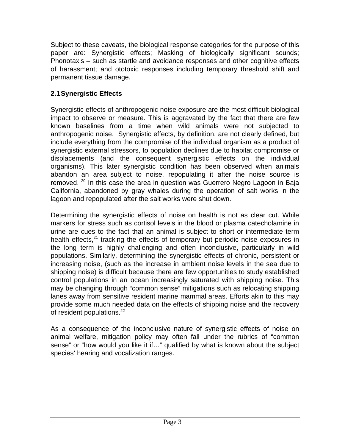Subject to these caveats, the biological response categories for the purpose of this paper are: Synergistic effects; Masking of biologically significant sounds; Phonotaxis – such as startle and avoidance responses and other cognitive effects of harassment; and ototoxic responses including temporary threshold shift and permanent tissue damage.

#### **2.1Synergistic Effects**

Synergistic effects of anthropogenic noise exposure are the most difficult biological impact to observe or measure. This is aggravated by the fact that there are few known baselines from a time when wild animals were not subjected to anthropogenic noise. Synergistic effects, by definition, are not clearly defined, but include everything from the compromise of the individual organism as a product of synergistic external stressors, to population declines due to habitat compromise or displacements (and the consequent synergistic effects on the individual organisms). This later synergistic condition has been observed when animals abandon an area subject to noise, repopulating it after the noise source is removed.  $20$  In this case the area in question was Guerrero Negro Lagoon in Baja California, abandoned by gray whales during the operation of salt works in the lagoon and repopulated after the salt works were shut down.

Determining the synergistic effects of noise on health is not as clear cut. While markers for stress such as cortisol levels in the blood or plasma catecholamine in urine are cues to the fact that an animal is subject to short or intermediate term health effects, $21$  tracking the effects of temporary but periodic noise exposures in the long term is highly challenging and often inconclusive, particularly in wild populations. Similarly, determining the synergistic effects of chronic, persistent or increasing noise, (such as the increase in ambient noise levels in the sea due to shipping noise) is difficult because there are few opportunities to study established control populations in an ocean increasingly saturated with shipping noise. This may be changing through "common sense" mitigations such as relocating shipping lanes away from sensitive resident marine mammal areas. Efforts akin to this may provide some much needed data on the effects of shipping noise and the recovery of resident populations.<sup>22</sup>

As a consequence of the inconclusive nature of synergistic effects of noise on animal welfare, mitigation policy may often fall under the rubrics of "common sense" or "how would you like it if…" qualified by what is known about the subject species' hearing and vocalization ranges.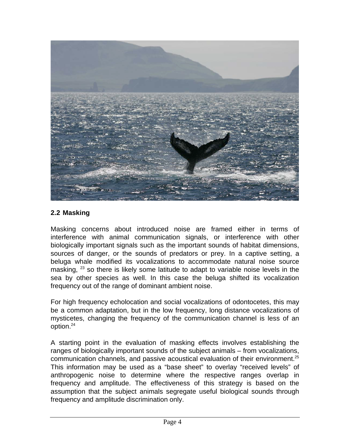

#### **2.2 Masking**

Masking concerns about introduced noise are framed either in terms of interference with animal communication signals, or interference with other biologically important signals such as the important sounds of habitat dimensions, sources of danger, or the sounds of predators or prey. In a captive setting, a beluga whale modified its vocalizations to accommodate natural noise source masking, <sup>23</sup> so there is likely some latitude to adapt to variable noise levels in the sea by other species as well. In this case the beluga shifted its vocalization frequency out of the range of dominant ambient noise.

For high frequency echolocation and social vocalizations of odontocetes, this may be a common adaptation, but in the low frequency, long distance vocalizations of mysticetes, changing the frequency of the communication channel is less of an option.<sup>24</sup>

A starting point in the evaluation of masking effects involves establishing the ranges of biologically important sounds of the subject animals – from vocalizations, communication channels, and passive acoustical evaluation of their environment.<sup>25</sup> This information may be used as a "base sheet" to overlay "received levels" of anthropogenic noise to determine where the respective ranges overlap in frequency and amplitude. The effectiveness of this strategy is based on the assumption that the subject animals segregate useful biological sounds through frequency and amplitude discrimination only.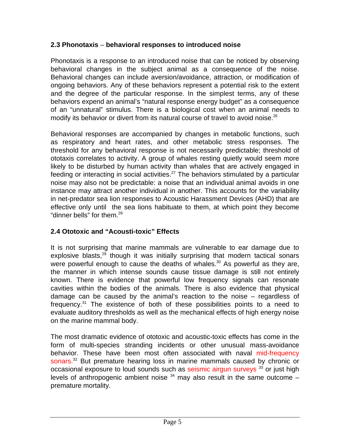#### **2.3 Phonotaxis** – **behavioral responses to introduced noise**

Phonotaxis is a response to an introduced noise that can be noticed by observing behavioral changes in the subject animal as a consequence of the noise. Behavioral changes can include aversion/avoidance, attraction, or modification of ongoing behaviors. Any of these behaviors represent a potential risk to the extent and the degree of the particular response. In the simplest terms, any of these behaviors expend an animal's "natural response energy budget" as a consequence of an "unnatural" stimulus. There is a biological cost when an animal needs to modify its behavior or divert from its natural course of travel to avoid noise.<sup>26</sup>

Behavioral responses are accompanied by changes in metabolic functions, such as respiratory and heart rates, and other metabolic stress responses. The threshold for any behavioral response is not necessarily predictable; threshold of ototaxis correlates to activity. A group of whales resting quietly would seem more likely to be disturbed by human activity than whales that are actively engaged in feeding or interacting in social activities.<sup>27</sup> The behaviors stimulated by a particular noise may also not be predictable: a noise that an individual animal avoids in one instance may attract another individual in another. This accounts for the variability in net-predator sea lion responses to Acoustic Harassment Devices (AHD) that are effective only until the sea lions habituate to them, at which point they become "dinner bells" for them. $^{28}$ 

#### **2.4 Ototoxic and "Acousti-toxic" Effects**

It is not surprising that marine mammals are vulnerable to ear damage due to explosive blasts, $29$  though it was initially surprising that modern tactical sonars were powerful enough to cause the deaths of whales.<sup>30</sup> As powerful as they are, the manner in which intense sounds cause tissue damage is still not entirely known. There is evidence that powerful low frequency signals can resonate cavities within the bodies of the animals. There is also evidence that physical damage can be caused by the animal's reaction to the noise – regardless of frequency.<sup>31</sup> The existence of both of these possibilities points to a need to evaluate auditory thresholds as well as the mechanical effects of high energy noise on the marine mammal body.

The most dramatic evidence of ototoxic and acoustic-toxic effects has come in the form of multi-species stranding incidents or other unusual mass-avoidance behavior. These have been most often associated with naval [mid-frequency](http://www.greenpeace.org/usa/assets/binaries/53-c-sonar-good-level)  sonars.<sup>32</sup> But premature hearing loss in marine mammals caused by chronic or occasional exposure to loud sounds such a[s seismic airgun surveys](http://www.greenpeace.org/usa/assets/binaries/airguns-and-echosounders)  $33$  or just high levels of anthropogenic ambient noise  $34$  may also result in the same outcome – premature mortality.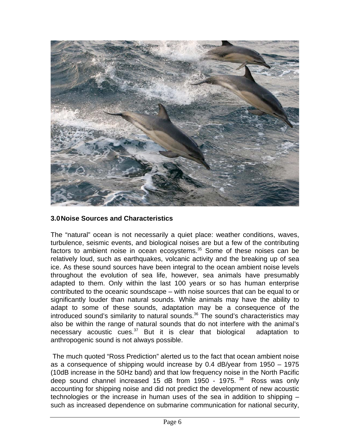

#### **3.0Noise Sources and Characteristics**

The "natural" ocean is not necessarily a quiet place: weather conditions, waves, turbulence, seismic events, and biological noises are but a few of the contributing factors to ambient noise in ocean ecosystems.<sup>35</sup> Some of these noises can be relatively loud, such as earthquakes, volcanic activity and the breaking up of sea ice. As these sound sources have been integral to the ocean ambient noise levels throughout the evolution of sea life, however, sea animals have presumably adapted to them. Only within the last 100 years or so has human enterprise contributed to the oceanic soundscape – with noise sources that can be equal to or significantly louder than natural sounds. While animals may have the ability to adapt to some of these sounds, adaptation may be a consequence of the introduced sound's similarity to natural sounds.<sup>36</sup> The sound's characteristics may also be within the range of natural sounds that do not interfere with the animal's necessary acoustic cues.<sup>37</sup> But it is clear that biological adaptation to anthropogenic sound is not always possible.

 The much quoted "Ross Prediction" alerted us to the fact that ocean ambient noise as a consequence of shipping would increase by 0.4 dB/year from 1950 – 1975 (10dB increase in the 50Hz band) and that low frequency noise in the North Pacific deep sound channel increased 15 dB from 1950 - 1975. <sup>38</sup> Ross was only accounting for shipping noise and did not predict the development of new acoustic technologies or the increase in human uses of the sea in addition to shipping – such as increased dependence on submarine communication for national security,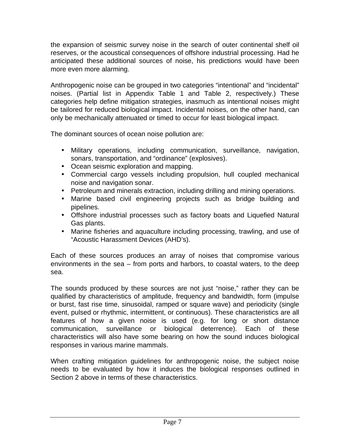the expansion of seismic survey noise in the search of outer continental shelf oil reserves, or the acoustical consequences of offshore industrial processing. Had he anticipated these additional sources of noise, his predictions would have been more even more alarming.

Anthropogenic noise can be grouped in two categories "intentional" and "incidental" noises. (Partial list in Appendix Table 1 and Table 2, respectively.) These categories help define mitigation strategies, inasmuch as intentional noises might be tailored for reduced biological impact. Incidental noises, on the other hand, can only be mechanically attenuated or timed to occur for least biological impact.

The dominant sources of ocean noise pollution are:

- Military operations, including communication, surveillance, navigation, sonars, transportation, and "ordinance" (explosives).
- Ocean seismic exploration and mapping.
- Commercial cargo vessels including propulsion, hull coupled mechanical noise and navigation sonar.
- Petroleum and minerals extraction, including drilling and mining operations.
- Marine based civil engineering projects such as bridge building and pipelines.
- Offshore industrial processes such as factory boats and Liquefied Natural Gas plants.
- Marine fisheries and aquaculture including processing, trawling, and use of "Acoustic Harassment Devices (AHD's).

Each of these sources produces an array of noises that compromise various environments in the sea – from ports and harbors, to coastal waters, to the deep sea.

The sounds produced by these sources are not just "noise," rather they can be qualified by characteristics of amplitude, frequency and bandwidth, form (impulse or burst, fast rise time, sinusoidal, ramped or square wave) and periodicity (single event, pulsed or rhythmic, intermittent, or continuous). These characteristics are all features of how a given noise is used (e.g. for long or short distance communication, surveillance or biological deterrence). Each of these characteristics will also have some bearing on how the sound induces biological responses in various marine mammals.

When crafting mitigation guidelines for anthropogenic noise, the subject noise needs to be evaluated by how it induces the biological responses outlined in Section 2 above in terms of these characteristics.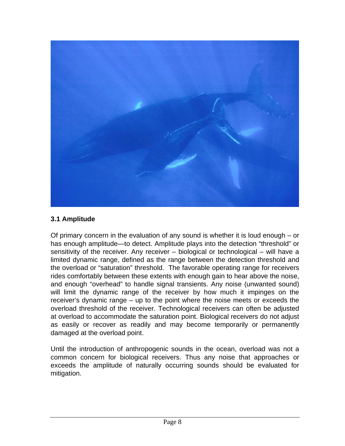

#### **3.1 Amplitude**

Of primary concern in the evaluation of any sound is whether it is loud enough – or has enough amplitude—to detect. Amplitude plays into the detection "threshold" or sensitivity of the receiver. Any receiver – biological or technological – will have a limited dynamic range, defined as the range between the detection threshold and the overload or "saturation" threshold. The favorable operating range for receivers rides comfortably between these extents with enough gain to hear above the noise, and enough "overhead" to handle signal transients. Any noise (unwanted sound) will limit the dynamic range of the receiver by how much it impinges on the receiver's dynamic range – up to the point where the noise meets or exceeds the overload threshold of the receiver. Technological receivers can often be adjusted at overload to accommodate the saturation point. Biological receivers do not adjust as easily or recover as readily and may become temporarily or permanently damaged at the overload point.

Until the introduction of anthropogenic sounds in the ocean, overload was not a common concern for biological receivers. Thus any noise that approaches or exceeds the amplitude of naturally occurring sounds should be evaluated for mitigation.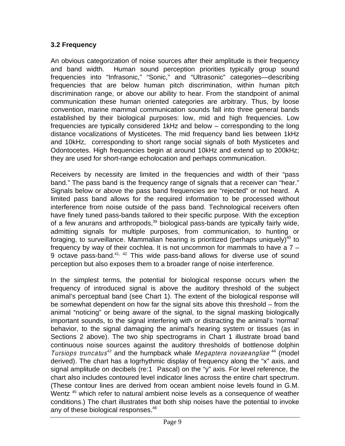#### **3.2 Frequency**

An obvious categorization of noise sources after their amplitude is their frequency and band width. Human sound perception priorities typically group sound frequencies into "Infrasonic," "Sonic," and "Ultrasonic" categories—describing frequencies that are below human pitch discrimination, within human pitch discrimination range, or above our ability to hear. From the standpoint of animal communication these human oriented categories are arbitrary. Thus, by loose convention, marine mammal communication sounds fall into three general bands established by their biological purposes: low, mid and high frequencies. Low frequencies are typically considered 1kHz and below – corresponding to the long distance vocalizations of Mysticetes. The mid frequency band lies between 1kHz and 10kHz, corresponding to short range social signals of both Mysticetes and Odontocetes. High frequencies begin at around 10kHz and extend up to 200kHz; they are used for short-range echolocation and perhaps communication.

Receivers by necessity are limited in the frequencies and width of their "pass band." The pass band is the frequency range of signals that a receiver can "hear." Signals below or above the pass band frequencies are "rejected" or not heard. A limited pass band allows for the required information to be processed without interference from noise outside of the pass band. Technological receivers often have finely tuned pass-bands tailored to their specific purpose. With the exception of a few anurans and arthropods, $39$  biological pass-bands are typically fairly wide, admitting signals for multiple purposes, from communication, to hunting or foraging, to surveillance. Mammalian hearing is prioritized (perhaps uniquely)<sup>40</sup> to frequency by way of their cochlea. It is not uncommon for mammals to have a 7 – 9 octave pass-band.41, 42 This wide pass-band allows for diverse use of sound perception but also exposes them to a broader range of noise interference.

In the simplest terms, the potential for biological response occurs when the frequency of introduced signal is above the auditory threshold of the subject animal's perceptual band (see Chart 1). The extent of the biological response will be somewhat dependent on how far the signal sits above this threshold – from the animal "noticing" or being aware of the signal, to the signal masking biologically important sounds, to the signal interfering with or distracting the animal's 'normal' behavior, to the signal damaging the animal's hearing system or tissues (as in Sections 2 above). The two ship spectrograms in Chart 1 illustrate broad band continuous noise sources against the auditory thresholds of bottlenose dolphin Tursiops truncatus<sup>43</sup> and the humpback whale *Megaptera novaeangliae*<sup>44</sup> (model derived). The chart has a logrhythmic display of frequency along the "x" axis, and signal amplitude on decibels (re:1 Pascal) on the "y" axis. For level reference, the chart also includes contoured level indicator lines across the entire chart spectrum. (These contour lines are derived from ocean ambient noise levels found in G.M. Wentz<sup>45</sup> which refer to natural ambient noise levels as a consequence of weather conditions.) The chart illustrates that both ship noises have the potential to invoke any of these biological responses.<sup>46</sup>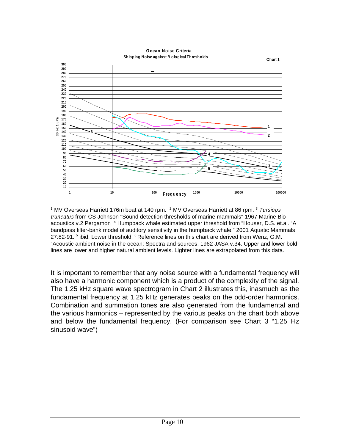**Ocean Noise Criteria Shipping Noise against BiologicalThresholds**



<sup>1</sup> MV Overseas Harriett 176m boat at 140 rpm.  $2$  MV Overseas Harriett at 86 rpm.  $3$  Tursiops truncatus from CS Johnson "Sound detection thresholds of marine mammals" 1967 Marine Bioacoustics v.2 Pergamon <sup>4</sup> Humpback whale estimated upper threshold from "Houser, D.S. et.al. "A bandpass filter-bank model of auditory sensitivity in the humpback whale." 2001 Aquatic Mammals 27:82-91. <sup>5</sup> ibid. Lower threshold. <sup>6</sup> Reference lines on this chart are derived from Wenz, G.M. "Acoustic ambient noise in the ocean: Spectra and sources. 1962 JASA v.34. Upper and lower bold lines are lower and higher natural ambient levels. Lighter lines are extrapolated from this data.

It is important to remember that any noise source with a fundamental frequency will also have a harmonic component which is a product of the complexity of the signal. The 1.25 kHz square wave spectrogram in Chart 2 illustrates this, inasmuch as the fundamental frequency at 1.25 kHz generates peaks on the odd-order harmonics. Combination and summation tones are also generated from the fundamental and the various harmonics – represented by the various peaks on the chart both above and below the fundamental frequency. (For comparison see Chart 3 "1.25 Hz sinusoid wave")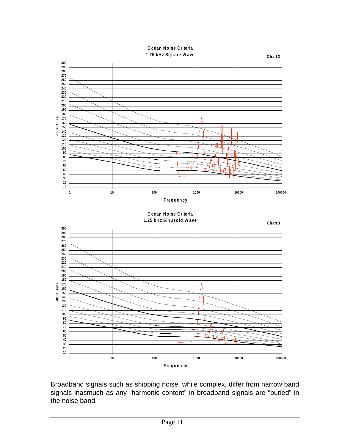**Ocean Noise Criteria 1.25 kHz Square Wave**



Broadband signals such as shipping noise, while complex, differ from narrow band signals inasmuch as any "harmonic content" in broadband signals are "buried" in the noise band.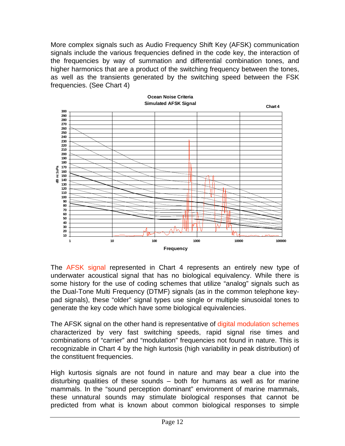More complex signals such as Audio Frequency Shift Key (AFSK) communication signals include the various frequencies defined in the code key, the interaction of the frequencies by way of summation and differential combination tones, and higher harmonics that are a product of the switching frequency between the tones, as well as the transients generated by the switching speed between the FSK frequencies. (See Chart 4)



The [AFSK signal](http://www.greenpeace.org/usa/assets/binaries/hlf-5-active-sonar) represented in Chart 4 represents an entirely new type of underwater acoustical signal that has no biological equivalency. While there is some history for the use of coding schemes that utilize "analog" signals such as the Dual-Tone Multi Frequency (DTMF) signals (as in the common telephone keypad signals), these "older" signal types use single or multiple sinusoidal tones to generate the key code which have some biological equivalencies.

The AFSK signal on the other hand is representative of [digital modulation schemes](http://www.greenpeace.org/usa/assets/binaries/afsk-page-link) characterized by very fast switching speeds, rapid signal rise times and combinations of "carrier" and "modulation" frequencies not found in nature. This is recognizable in Chart 4 by the high kurtosis (high variability in peak distribution) of the constituent frequencies.

High kurtosis signals are not found in nature and may bear a clue into the disturbing qualities of these sounds – both for humans as well as for marine mammals. In the "sound perception dominant" environment of marine mammals, these unnatural sounds may stimulate biological responses that cannot be predicted from what is known about common biological responses to simple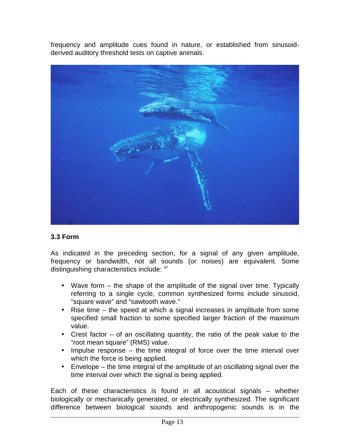frequency and amplitude cues found in nature, or established from sinusoidderived auditory threshold tests on captive animals.



#### **3.3 Form**

As indicated in the preceding section, for a signal of any given amplitude, frequency or bandwidth, not all sounds (or noises) are equivalent. Some distinguishing characteristics include: 47

- Wave form the shape of the amplitude of the signal over time. Typically referring to a single cycle, common synthesized forms include sinusoid, "square wave" and "sawtooth wave."
- Rise time the speed at which a signal increases in amplitude from some specified small fraction to some specified larger fraction of the maximum value.
- Crest factor of an oscillating quantity, the ratio of the peak value to the "root mean square" (RMS) value.
- Impulse response the time integral of force over the time interval over which the force is being applied.
- Envelope the time integral of the amplitude of an oscillating signal over the time interval over which the signal is being applied.

Each of these characteristics is found in all acoustical signals – whether biologically or mechanically generated, or electrically synthesized. The significant difference between biological sounds and anthropogenic sounds is in the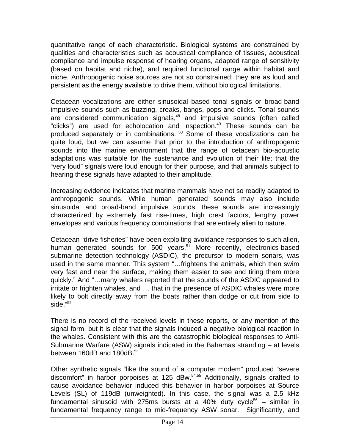quantitative range of each characteristic. Biological systems are constrained by qualities and characteristics such as acoustical compliance of tissues, acoustical compliance and impulse response of hearing organs, adapted range of sensitivity (based on habitat and niche), and required functional range within habitat and niche. Anthropogenic noise sources are not so constrained; they are as loud and persistent as the energy available to drive them, without biological limitations.

Cetacean vocalizations are either sinusoidal based tonal signals or broad-band impulsive sounds such as buzzing, creaks, bangs, pops and clicks. Tonal sounds are considered communication signals,<sup>48</sup> and impulsive sounds (often called "clicks") are used for echolocation and inspection.<sup>49</sup> These sounds can be produced separately or in combinations. 50 Some of these vocalizations can be quite loud, but we can assume that prior to the introduction of anthropogenic sounds into the marine environment that the range of cetacean bio-acoustic adaptations was suitable for the sustenance and evolution of their life; that the "very loud" signals were loud enough for their purpose, and that animals subject to hearing these signals have adapted to their amplitude.

Increasing evidence indicates that marine mammals have not so readily adapted to anthropogenic sounds. While human generated sounds may also include sinusoidal and broad-band impulsive sounds, these sounds are increasingly characterized by extremely fast rise-times, high crest factors, lengthy power envelopes and various frequency combinations that are entirely alien to nature.

Cetacean "drive fisheries" have been exploiting avoidance responses to such alien, human generated sounds for 500 years.<sup>51</sup> More recently, electronics-based submarine detection technology (ASDIC), the precursor to modern sonars, was used in the same manner. This system "…frightens the animals, which then swim very fast and near the surface, making them easier to see and tiring them more quickly." And "…many whalers reported that the sounds of the ASDIC appeared to irritate or frighten whales, and … that in the presence of ASDIC whales were more likely to bolt directly away from the boats rather than dodge or cut from side to side."<sup>52</sup>

There is no record of the received levels in these reports, or any mention of the signal form, but it is clear that the signals induced a negative biological reaction in the whales. Consistent with this are the catastrophic biological responses to Anti-Submarine Warfare (ASW) signals indicated in the Bahamas stranding – at levels between 160dB and 180dB.<sup>53</sup>

Other synthetic signals "like the sound of a computer modem" produced "severe discomfort" in harbor porpoises at 125 dBw.54,55 Additionally, signals crafted to cause avoidance behavior induced this behavior in harbor porpoises at Source Levels (SL) of 119dB (unweighted). In this case, the signal was a 2.5 kHz fundamental sinusoid with 275ms bursts at a 40% duty cycle<sup>56</sup> – similar in fundamental frequency range to mid-frequency ASW sonar. Significantly, and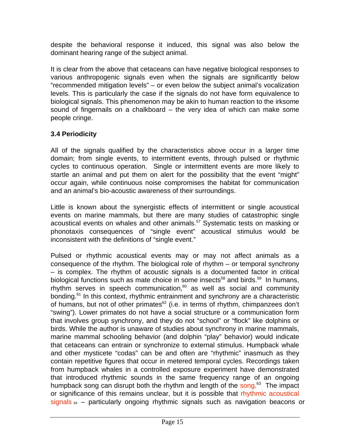despite the behavioral response it induced, this signal was also below the dominant hearing range of the subject animal.

It is clear from the above that cetaceans can have negative biological responses to various anthropogenic signals even when the signals are significantly below "recommended mitigation levels" – or even below the subject animal's vocalization levels. This is particularly the case if the signals do not have form equivalence to biological signals. This phenomenon may be akin to human reaction to the irksome sound of fingernails on a chalkboard – the very idea of which can make some people cringe.

#### **3.4 Periodicity**

All of the signals qualified by the characteristics above occur in a larger time domain; from single events, to intermittent events, through pulsed or rhythmic cycles to continuous operation. Single or intermittent events are more likely to startle an animal and put them on alert for the possibility that the event "might" occur again, while continuous noise compromises the habitat for communication and an animal's bio-acoustic awareness of their surroundings.

Little is known about the synergistic effects of intermittent or single acoustical events on marine mammals, but there are many studies of catastrophic single acoustical events on whales and other animals.<sup>57</sup> Systematic tests on masking or phonotaxis consequences of "single event" acoustical stimulus would be inconsistent with the definitions of "single event."

Pulsed or rhythmic acoustical events may or may not affect animals as a consequence of the rhythm. The biological role of rhythm – or temporal synchrony – is complex. The rhythm of acoustic signals is a documented factor in critical biological functions such as mate choice in some insects<sup>58</sup> and birds.<sup>59</sup> In humans, rhythm serves in speech communication, $60$  as well as social and community bonding.<sup>61</sup> In this context, rhythmic entrainment and synchrony are a characteristic of humans, but not of other primates $62$  (i.e. in terms of rhythm, chimpanzees don't "swing"). Lower primates do not have a social structure or a communication form that involves group synchrony, and they do not "school" or "flock" like dolphins or birds. While the author is unaware of studies about synchrony in marine mammals, marine mammal schooling behavior (and dolphin "play" behavior) would indicate that cetaceans can entrain or synchronize to external stimulus. Humpback whale and other mysticete "codas" can be and often are "rhythmic" inasmuch as they contain repetitive figures that occur in metered temporal cycles. Recordings taken from humpback whales in a controlled exposure experiment have demonstrated that introduced rhythmic sounds in the same frequency range of an ongoing humpback song can disrupt both the rhythm and length of the [song.](http://www.greenpeace.org/usa/assets/binaries/humpback-whale-sonar)<sup>63</sup> The impact or significance of this remains unclear, but it is possible that [rhythmic acoustical](http://www.greenpeace.org/usa/assets/binaries/airguns-10x-speed)  [signals](http://www.greenpeace.org/usa/assets/binaries/airguns-10x-speed)  $64 -$  particularly ongoing rhythmic signals such as navigation beacons or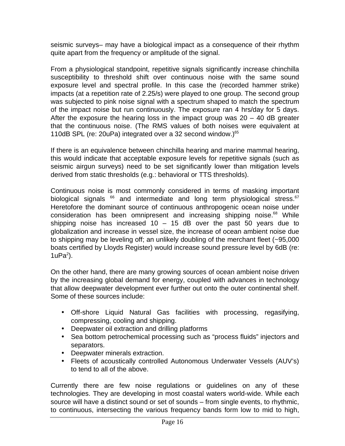seismic surveys– may have a biological impact as a consequence of their rhythm quite apart from the frequency or amplitude of the signal.

From a physiological standpoint, repetitive signals significantly increase chinchilla susceptibility to threshold shift over continuous noise with the same sound exposure level and spectral profile. In this case the (recorded hammer strike) impacts (at a repetition rate of 2.25/s) were played to one group. The second group was subjected to pink noise signal with a spectrum shaped to match the spectrum of the impact noise but run continuously. The exposure ran 4 hrs/day for 5 days. After the exposure the hearing loss in the impact group was  $20 - 40$  dB greater that the continuous noise. (The RMS values of both noises were equivalent at 110dB SPL (re: 20uPa) integrated over a 32 second window.) $65$ 

If there is an equivalence between chinchilla hearing and marine mammal hearing, this would indicate that acceptable exposure levels for repetitive signals (such as seismic airgun surveys) need to be set significantly lower than mitigation levels derived from static thresholds (e.g.: behavioral or TTS thresholds).

Continuous noise is most commonly considered in terms of masking important biological signals  $^{66}$  and intermediate and long term physiological stress. $^{67}$ Heretofore the dominant source of continuous anthropogenic ocean noise under consideration has been omnipresent and increasing shipping noise.<sup>68</sup> While shipping noise has increased  $10 - 15$  dB over the past 50 years due to globalization and increase in vessel size, the increase of ocean ambient noise due to shipping may be leveling off; an unlikely doubling of the merchant fleet (~95,000 boats certified by Lloyds Register) would increase sound pressure level by 6dB (re:  $1uPa<sup>2</sup>$ ).

On the other hand, there are many growing sources of ocean ambient noise driven by the increasing global demand for energy, coupled with advances in technology that allow deepwater development ever further out onto the outer continental shelf. Some of these sources include:

- Off-shore Liquid Natural Gas facilities with processing, regasifying, compressing, cooling and shipping.
- Deepwater oil extraction and drilling platforms
- Sea bottom petrochemical processing such as "process fluids" injectors and separators.
- Deepwater minerals extraction.
- Fleets of acoustically controlled Autonomous Underwater Vessels (AUV's) to tend to all of the above.

Currently there are few noise regulations or guidelines on any of these technologies. They are developing in most coastal waters world-wide. While each source will have a distinct sound or set of sounds – from single events, to rhythmic, to continuous, intersecting the various frequency bands form low to mid to high,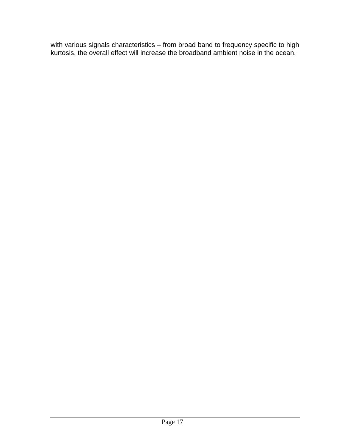with various signals characteristics – from broad band to frequency specific to high kurtosis, the overall effect will increase the broadband ambient noise in the ocean.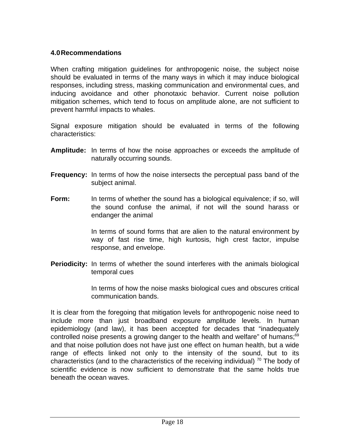#### **4.0Recommendations**

When crafting mitigation guidelines for anthropogenic noise, the subject noise should be evaluated in terms of the many ways in which it may induce biological responses, including stress, masking communication and environmental cues, and inducing avoidance and other phonotaxic behavior. Current noise pollution mitigation schemes, which tend to focus on amplitude alone, are not sufficient to prevent harmful impacts to whales.

Signal exposure mitigation should be evaluated in terms of the following characteristics:

- **Amplitude:** In terms of how the noise approaches or exceeds the amplitude of naturally occurring sounds.
- **Frequency:** In terms of how the noise intersects the perceptual pass band of the subject animal.
- **Form:** In terms of whether the sound has a biological equivalence; if so, will the sound confuse the animal, if not will the sound harass or endanger the animal

In terms of sound forms that are alien to the natural environment by way of fast rise time, high kurtosis, high crest factor, impulse response, and envelope.

**Periodicity:** In terms of whether the sound interferes with the animals biological temporal cues

> In terms of how the noise masks biological cues and obscures critical communication bands.

It is clear from the foregoing that mitigation levels for anthropogenic noise need to include more than just broadband exposure amplitude levels. In human epidemiology (and law), it has been accepted for decades that "inadequately controlled noise presents a growing danger to the health and welfare" of humans;<sup>69</sup> and that noise pollution does not have just one effect on human health, but a wide range of effects linked not only to the intensity of the sound, but to its characteristics (and to the characteristics of the receiving individual)  $\frac{70}{2}$  The body of scientific evidence is now sufficient to demonstrate that the same holds true beneath the ocean waves.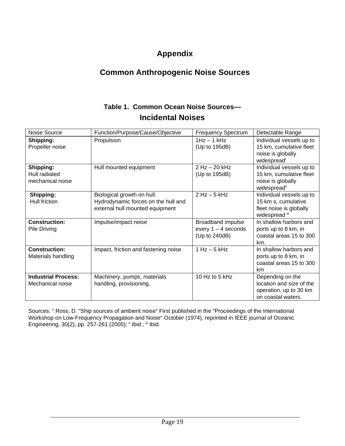### **Appendix**

#### **Common Anthropogenic Noise Sources**

#### **Table 1. Common Ocean Noise Sources— Incidental Noises**

| Noise Source                                   | Function/Purpose/Cause/Objective                                                                     | <b>Frequency Spectrum</b>                                   | Detectable Range                                                                                     |
|------------------------------------------------|------------------------------------------------------------------------------------------------------|-------------------------------------------------------------|------------------------------------------------------------------------------------------------------|
| Shipping:<br>Propeller noise                   | Propulsion                                                                                           | $1Hz - 1kHz$<br>(Up to 195dB)                               | Individual vessels up to<br>15 km, cumulative fleet<br>noise is globally<br>widespreadi              |
| Shipping:<br>Hull radiated<br>mechanical noise | Hull mounted equipment                                                                               | $2$ Hz $-$ 20 kHz<br>(Up to 195dB)                          | Individual vessels up to<br>15 km, cumulative fleet<br>noise is globally<br>widespread <sup>ii</sup> |
| Shipping:<br>Hull friction                     | Biological growth on hull.<br>Hydrodynamic forces on the hull and<br>external hull mounted equipment | $2$ Hz $-$ 5 kHz                                            | Individual vessels up to<br>15 km s, cumulative<br>fleet noise is globally<br>widespread iii         |
| <b>Construction:</b><br>Pile Driving           | Impulse/impact noise                                                                                 | Broadband impulse<br>every $1 - 4$ seconds<br>(Up to 240dB) | In shallow harbors and<br>ports up to 8 km, in<br>coastal areas 15 to 300<br>km.                     |
| <b>Construction:</b><br>Materials handling     | Impact, friction and fastening noise                                                                 | $1 Hz - 5 kHz$                                              | In shallow harbors and<br>ports up to 8 km, in<br>coastal areas 15 to 300<br>km                      |
| <b>Industrial Process:</b><br>Mechanical noise | Machinery, pumps, materials<br>handling, provisioning.                                               | 10 Hz to 5 kHz                                              | Depending on the<br>location and size of the<br>operation, up to 30 km<br>on coastal waters.         |

Sources: <sup>1</sup> Ross, D. "Ship sources of ambient noise" First published in the "Proceedings of the International Workshop on Low-Frequency Propagation and Noise" October (1974), reprinted in IEEE journal of Oceanic Engineering, 30(2), pp. 257-261 (2005); ii Ibid.; iii Ibid.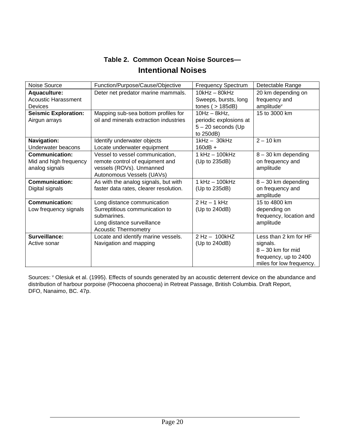| Table 2. Common Ocean Noise Sources- |  |
|--------------------------------------|--|
| <b>Intentional Noises</b>            |  |

| Noise Source                               | Function/Purpose/Cause/Objective       | <b>Frequency Spectrum</b>               | Detectable Range                    |
|--------------------------------------------|----------------------------------------|-----------------------------------------|-------------------------------------|
| Aquaculture:<br><b>Acoustic Harassment</b> | Deter net predator marine mammals.     | $10kHz - 80kHz$<br>Sweeps, bursts, long | 20 km depending on<br>frequency and |
| <b>Devices</b>                             |                                        | tones ( $>$ 185dB)                      | amplitude <sup>v</sup>              |
| <b>Seismic Exploration:</b>                | Mapping sub-sea bottom profiles for    | $10Hz - 8kHz$ ,                         | 15 to 3000 km                       |
| Airgun arrays                              | oil and minerals extraction industries | periodic explosions at                  |                                     |
|                                            |                                        | $5 - 20$ seconds (Up                    |                                     |
|                                            |                                        | to 250dB)                               |                                     |
| Navigation:                                | Identify underwater objects            | $1$ kHz $-30$ kHz                       | $2 - 10$ km                         |
| Underwater beacons                         | Locate underwater equipment            | $160dB +$                               |                                     |
| <b>Communication:</b>                      | Vessel to vessel communication,        | 1 kHz - 100kHz                          | $8 - 30$ km depending               |
| Mid and high frequency                     | remote control of equipment and        | (Up to 235dB)                           | on frequency and                    |
| analog signals                             | vessels (ROVs). Unmanned               |                                         | amplitude                           |
|                                            | Autonomous Vessels (UAVs)              |                                         |                                     |
| <b>Communication:</b>                      | As with the analog signals, but with   | 1 kHz - 100kHz                          | $8 - 30$ km depending               |
| Digital signals                            | faster data rates, clearer resolution. | (Up to 235dB)                           | on frequency and                    |
|                                            |                                        |                                         | amplitude                           |
| <b>Communication:</b>                      | Long distance communication            | $2$ Hz $-$ 1 kHz                        | 15 to 4800 km                       |
| Low frequency signals                      | Surreptitious communication to         | (Up to 240dB)                           | depending on                        |
|                                            | submarines.                            |                                         | frequency, location and             |
|                                            | Long distance surveillance             |                                         | amplitude                           |
|                                            | <b>Acoustic Thermometry</b>            |                                         |                                     |
| Surveillance:                              | Locate and identify marine vessels.    | $2$ Hz $-$ 100 kHZ                      | Less than 2 km for HF               |
| Active sonar                               | Navigation and mapping                 | (Up to 240dB)                           | signals.                            |
|                                            |                                        |                                         | $8 - 30$ km for mid                 |
|                                            |                                        |                                         | frequency, up to 2400               |
|                                            |                                        |                                         | miles for low frequency.            |

Sources: <sup>v</sup> Olesiuk et al. (1995). Effects of sounds generated by an acoustic deterrent device on the abundance and distribution of harbour porpoise (Phocoena phocoena) in Retreat Passage, British Columbia. Draft Report, DFO, Nanaimo, BC. 47p.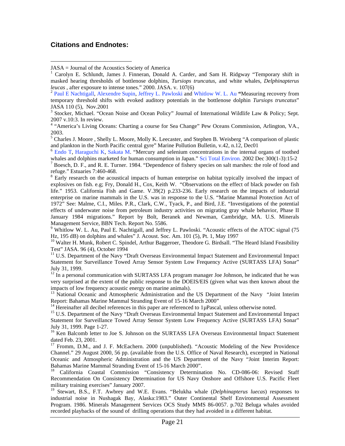#### **Citations and Endnotes:**

 $\overline{a}$ 

<sup>9</sup> Whitlow W. L. Au, Paul E. Nachtigall, and Jeffrey L. Pawloski. "Acoustic effects of the ATOC signal (75 Hz, 195 dB) on dolphins and whales" J. Acoust. Soc. Am. 101 (5), Pt. 1, May 1997<br><sup>10</sup> Walter H. Munk, Robert C. Spindel, Arthur Baggeroer, Theodore G. Birdsall. "The Heard Island Feasibility

Test" JASA. 96 (4), October 1994

<sup>11</sup> U.S. Department of the Navy "Draft Overseas Environmental Impact Statement and Environmental Impact Statement for Surveillance Towed Array Sensor System Low Frequency Active (SURTASS LFA) Sonar" July 31, 1999.<br><sup>12</sup> In a personal communication with SURTASS LFA program manager Joe Johnson, he indicated that he was

very surprised at the extent of the public response to the DOEIS/EIS (given what was then known about the impacts of low frequency acoustic energy on marine animals).

<sup>13</sup> National Oceanic and Atmospheric Administration and the US Department of the Navy "Joint Interim Report: Bahamas Marine Mammal Stranding Event of 15-16 March 2000"

<sup>14</sup> Hereinafter all decibel references in this paper are referenced to 1 $\mu$ Pascal, unless otherwise noted.<br><sup>15</sup> U.S. Department of the Navy "Draft Overseas Environmental Impact Statement and Environmental Impact Statement for Surveillance Towed Array Sensor System Low Frequency Active (SURTASS LFA) Sonar" July 31, 1999. Page 1-27.<br><sup>16</sup> Ken Balcomb letter to Joe S. Johnson on the SURTASS LFA Overseas Environmental Impact Statement

dated Feb. 23, 2001.

<sup>17</sup> Fromm, D.M., and J. F. McEachern. 2000 (unpublished). "Acoustic Modeling of the New Providence Channel." 29 August 2000, 56 pp. (available from the U.S. Office of Naval Research), excerpted in National Oceanic and Atmospheric Administration and the US Department of the Navy "Joint Interim Report: Bahamas Marine Mammal Stranding Event of 15-16 March 2000".<br><sup>18</sup> California Coastal Commission "Consistency Determination No. CD-086-06: Revised Staff

Recommendation On Consistency Determination for US Navy Onshore and Offshore U.S. Pacific Fleet military training exercises" January 2007.

<sup>19</sup> Stewart, B.S., F.T. Awbrey and W.E. Evans. "Belukha whale (*Delphinapterus luecas*) responses to industrial noise in Nushagak Bay, Alaska:1983." Outer Continental Shelf Environmental Assessment Program. 1986. Minerals Management Services OCS Study MMS 86-0057. p.702 Beluga whales avoided recorded playbacks of the sound of drilling operations that they had avoided in a different habitat.

JASA = Journal of the Acoustics Society of America

<sup>1</sup> Carolyn E. Schlundt, James J. Finneran, Donald A. Carder, and Sam H. Ridgway "Temporary shift in masked hearing thresholds of bottlenose dolphins, *Tursiops truncatus*, and white whales, *Delphinapterus* 

<sup>&</sup>lt;sup>2</sup> Paul E Nachtigall, Alexendre Supin, Jeffrey L. Pawloski and Whitlow W. L. Au "Measuring recovery from temporary threshold shifts with evoked auditory potentials in the bottlenose dolphin *Tursiops truncatus*" JASA 110 (5), Nov.2001

<sup>&</sup>lt;sup>3</sup> Stocker, Michael. "Ocean Noise and Ocean Policy" Journal of International Wildlife Law & Policy; Sept. 2007 v.10:3. In review.

<sup>&</sup>lt;sup>4</sup> "America's Living Oceans: Charting a course for Sea Change" Pew Oceans Commission, Arlington, VA., 2003.

<sup>&</sup>lt;sup>5</sup> Charles J. Moore, Shelly L. Moore, Molly K. Leecaster, and Stephen B. Weisberg "A comparison of plastic and plankton in the North Pacific central gyre" Marine Pollution Bulletin, v.42, n.12, Dec01 <sup>6</sup> Endo T, Haraguchi K, Sakata M. "Mercury and selenium concentrations in the internal organs of toothed

whales and dolphins marketed for human consumption in Japan." Sci Total Environ. 2002 Dec 300(1-3):15-2  $^7$  Boesch, D. F., and R. E. Turner. 1984. "Dependence of fishery species on salt marshes: the role of food and refuge." Estuaries 7:460-468.

<sup>&</sup>lt;sup>8</sup> Early research on the acoustical impacts of human enterprise on habitat typically involved the impact of explosives on fish. e.g; Fry, Donald H., Cox, Keith W. "Observations on the effect of black powder on fish life." 1953. California Fish and Game. V.39(2) p.233-236. Early research on the impacts of industrial enterprise on marine mammals in the U.S. was in response to the U.S. "Marine Mammal Protection Act of 1972" See: Malme, C.I., Miles. P.R., Clark, C.W., Tyack, P., and Bird, J.E. "Investigations of the potential effects of underwater noise from petroleum industry activities on migrating gray whale behavior, Phase II January 1984 migrations." Report by Bolt, Beranek and Newman, Cambridge, MA. U.S. Minerals Management Service, BBN Tech. Report No. 5586.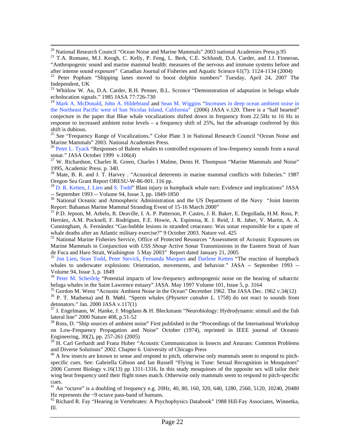<sup>20</sup> National Research Council "Ocean Noise and Marine Mammals" 2003 national Academies Press p.95

21 T.A. Romano, M.J. Keogh, C. Kelly, P. Feng, L. Berk, C.E. Schlundt, D.A. Carder, and J.J. Finneran**.**  "Anthropogenic sound and marine mammal health: measures of the nervous and immune systems before and after intense sound exposure" Canadian Journal of Fisheries and Aquatic Science 61(7): 1124-1134 (2004)

<sup>22</sup> Peter Popham "Shipping lanes moved to boost dolphin numbers" Tuesday, April 24, 2007 The Independent, UK

<sup>24</sup> Mark A. McDonald, John A. Hildebrand and Sean M. Wiggins "Increases in deep ocean ambient noise in the Northeast Pacific west of San Nicolas Island, California<sup>7</sup> (2006) JASA v.120. There is a "half hearted" conjecture in the paper that Blue whale vocalizations shifted down in frequency from 22.5Hz to 16 Hz in response to increased ambient noise levels – a frequency shift of 25%, but the advantage conferred by this shift is dubious.

<sup>25</sup> See "Frequency Range of Vocalizations." Color Plate 3 in National Research Council "Ocean Noise and Marine Mammals" 2003. National Academies Press.

<sup>26</sup> Peter L. Tyack "Responses of Baleen whales to controlled exposures of low-frequency sounds from a naval sonar." JASA October 1999  $v.106(4)$ 

 $^{27}$  W. Richardson, Charles R. Green, Charles I Malme, Denis H. Thompson "Marine Mammals and Noise" 1995, Academic Press. p. 340.

<sup>28</sup> Mate, B. R. and J. T. Harvey . "Acoustical deterrents in marine mammal conflicts with fisheries." 1987 Oregon Sea Grant Report ORESU-W-86-001. 116 pp.

<sup>29</sup> D. R. Ketten, J. Lien and S. Todd" Blast injury in humpback whale ears: Evidence and implications" JASA -- September 1993 -- Volume 94, Issue 3, pp. 1849-1850<br><sup>30</sup> National Oceanic and Atmospheric Administration and the US Department of the Navy "Joint Interim

Report: Bahamas Marine Mammal Stranding Event of 15-16 March 2000"<br><sup>31</sup> P.D. Jepson, M. Arbelo, R. Deaville, I. A. P. Patterson, P. Castro, J. R. Baker, E. Degollada, H.M. Ross, P.

Herráez, A.M. Pocknell, F. Rodríguez, F.E. Howie, A. Espinosa, R. J. Reid, J. R. Jaber, V. Martin, A. A. Cunningham, A. Fernández "Gas-bubble lesions in stranded cetaceans: Was sonar responsible for a spate of whale deaths after an Atlantic military exercise?" 9 October 2003. Nature vol. 425

<sup>32</sup> National Marine Fisheries Service, Office of Protected Resources "Assessment of Acoustic Exposures on Marine Mammals in Conjunction with *USS Shoup* Active Sonar Transmissions in the Eastern Strait of Juan

as Todd and Haro Strait, Washington 5 May 2003.<br><sup>33</sup> Jon Lien, Sean Todd, Peter Stevick, Fernanda Marques and Darlene Ketten "The reaction of humpback whales to underwater explosions: Orientation, movements, and behavior." JASA -- September 1993 --Volume 94, Issue 3, p. 1849

<sup>34</sup> Peter M. Scheifele "Potential impacts of low-frequency anthropogenic noise on the hearing of subarctic beluga whales in the Saint Lawrence estuary" JASA. May 1997 Volume 101, Issue 5, p. 3164<br><sup>35</sup> Gordon M. Wenz "Acoustic Ambient Noise in the Ocean" December 1962. The JASA Dec. 1962 v.34(12)

<sup>36</sup> P. T. Madsena) and B. Møhl. "Sperm whales (*Physeter catodon L.* 1758) do not react to sounds from detonators." Jan. 2000 JASA v.117(1)

 $37$  J. Engelmann, W. Hanke, J. Mogdans & H. Bleckmann "Neurobiology: Hydrodynamic stimuli and the fish lateral line" 2000 Nature 408, p.51-52<br><sup>38</sup> Ross, D. "Ship sources of ambient noise" First published in the "Proceedings of the International Workshop

on Low-Frequency Propagation and Noise" October (1974), reprinted in IEEE journal of Oceanic Engineering, 30(2), pp. 257-261 (2005)

<sup>39</sup> H. Carl Gerhardt and Franz Huber "Acoustic Communication in Insects and Anurans: Common Problems and Diverse Solutions" 2002. Chapter 6. University of Chicago Press

<sup>40</sup> A few insects are known to sense and respond to pitch, otherwise only mammals seem to respond to pitchspecific cues. See: Gabriella Gibson and Ian Russell "Flying in Tune: Sexual Recognition in Mosquitoes" 2006 Current Biology v.16(13) pp 1311-1316. In this study mosquitoes of the opposite sex will tailor their wing beat frequency until their flight tones match. Otherwise only mammals seem to respond to pitch-specific cues.

<sup>41</sup> An "octave" is a doubling of frequency e.g. 20Hz, 40, 80, 160, 320, 640, 1280, 2560, 5120, 10240, 20480 Hz represents the  $\sim$ 9 octave pass-band of humans.

<sup>42</sup> Richard R. Fay "Hearing in Vertebrates: A Psychophysics Databook" 1988 Hill-Fay Associates, Winnetka, Ill.

 $^{23}$  Whitlow W. Au, D.A. Carder, R.H. Penner, B.L. Scronce "Demonstration of adaptation in beluga whale echolocation signals." 1985 JASA 77:726-730